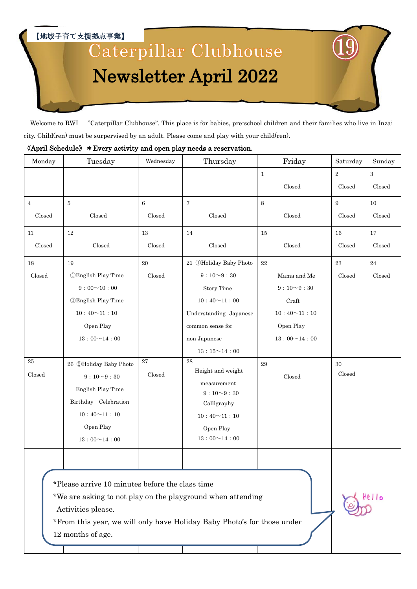【地域子育て支援拠点事業】

# Caterpillar Clubhouse Newsletter April 2022

Welcome to RWI "Caterpillar Clubhouse". This place is for babies, pre-school children and their families who live in Inzai city. Child(ren) must be surpervised by an adult. Please come and play with your child(ren).

#### 《April Schedule》\*Every activity and open play needs a reservation.

| Monday         | Tuesday                                                               | Wednesday       | Thursday                                                                                                                               | Friday             | Saturday         | Sunday   |
|----------------|-----------------------------------------------------------------------|-----------------|----------------------------------------------------------------------------------------------------------------------------------------|--------------------|------------------|----------|
|                |                                                                       |                 |                                                                                                                                        | $\mathbf{1}$       | $\,2$            | 3        |
|                |                                                                       |                 |                                                                                                                                        | Closed             | Closed           | Closed   |
| $\overline{4}$ | $\bf 5$                                                               | $\,6$           | $\overline{7}$                                                                                                                         | 8                  | $\boldsymbol{9}$ | 10       |
| $\rm Closed$   | Closed                                                                | Closed          | Closed                                                                                                                                 | Closed             | Closed           | Closed   |
| 11             | 12                                                                    | 13              | 14                                                                                                                                     | 15                 | 16               | 17       |
| Closed         | Closed                                                                | Closed          | Closed                                                                                                                                 | Closed             | Closed           | Closed   |
| 18             | 19                                                                    | $20\,$          | 21 ①Holiday Baby Photo                                                                                                                 | $22\,$             | 23               | $\bf 24$ |
| Closed         | <b><i>OEnglish Play Time</i></b>                                      | Closed          | $9:10 - 9:30$                                                                                                                          | Mama and Me        | Closed           | Closed   |
|                | $9:00 \sim 10:00$                                                     |                 | <b>Story Time</b>                                                                                                                      | $9:10\verb ~03:30$ |                  |          |
|                | <b>2 English Play Time</b>                                            |                 | $10:40 \sim 11:00$                                                                                                                     | Craft              |                  |          |
|                | $10:40 \sim 11:10$                                                    |                 | Understanding Japanese                                                                                                                 | $10:40 \sim 11:10$ |                  |          |
|                | Open Play                                                             |                 | common sense for                                                                                                                       | Open Play          |                  |          |
|                | $13:00 \sim 14:00$                                                    |                 | non Japanese                                                                                                                           | $13:00 \sim 14:00$ |                  |          |
|                |                                                                       |                 | $13:15\verb ~ 14:00$                                                                                                                   |                    |                  |          |
| $25\,$         | 26 2Holiday Baby Photo                                                | $\overline{27}$ | 28                                                                                                                                     | 29                 | 30               |          |
| Closed         | $9:10\sim9:30$                                                        | Closed          | Height and weight                                                                                                                      | Closed             | Closed           |          |
|                | English Play Time                                                     |                 | measurement<br>$9:10\sim9:30$                                                                                                          |                    |                  |          |
|                | Birthday Celebration                                                  |                 | Calligraphy                                                                                                                            |                    |                  |          |
|                | $10:40\!\!\simeq\!\!11:10$                                            |                 | $10:40 \sim 11:10$                                                                                                                     |                    |                  |          |
|                | Open Play                                                             |                 | Open Play                                                                                                                              |                    |                  |          |
|                | $13:00 \sim 14:00$                                                    |                 | $13:00 \sim 14:00$                                                                                                                     |                    |                  |          |
|                |                                                                       |                 |                                                                                                                                        |                    |                  |          |
|                | *Please arrive 10 minutes before the class time<br>Activities please. |                 | *We are asking to not play on the playground when attending<br>*From this year, we will only have Holiday Baby Photo's for those under |                    |                  | Aello    |
|                | 12 months of age.                                                     |                 |                                                                                                                                        |                    |                  |          |
|                |                                                                       |                 |                                                                                                                                        |                    |                  |          |